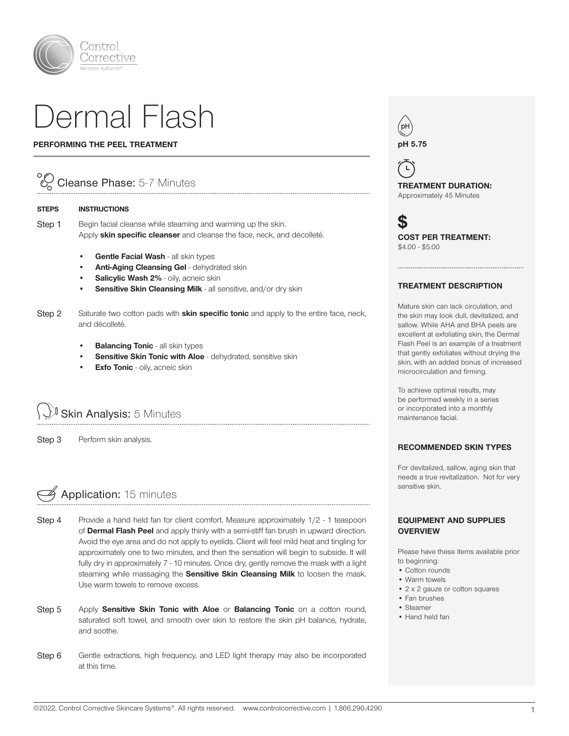

# Dermal Flash

#### PERFORMING THE PEEL TREATMENT

## Cleanse Phase: 5-7 Minutes

#### STEPS INSTRUCTIONS

Step 1 Begin facial cleanse while steaming and warming up the skin. Apply skin specific cleanser and cleanse the face, neck, and décolleté.

- Gentle Facial Wash all skin types
- Anti-Aging Cleansing Gel dehydrated skin
- Salicylic Wash 2% oily, acneic skin
- Sensitive Skin Cleansing Milk all sensitive, and/or dry skin
- Step 2 Saturate two cotton pads with **skin specific tonic** and apply to the entire face, neck, and décolleté.

- **Balancing Tonic all skin types**
- Sensitive Skin Tonic with Aloe dehydrated, sensitive skin
- **Exfo Tonic** oily, acneic skin

**Skin Analysis: 5 Minutes** 

Step 3 Perform skin analysis.



- Step 4 Provide a hand held fan for client comfort. Measure approximately 1/2 1 teaspoon of Dermal Flash Peel and apply thinly with a semi-stiff fan brush in upward direction. Avoid the eye area and do not apply to eyelids. Client will feel mild heat and tingling for approximately one to two minutes, and then the sensation will begin to subside. It will fully dry in approximately 7 - 10 minutes. Once dry, gently remove the mask with a light steaming while massaging the **Sensitive Skin Cleansing Milk** to loosen the mask. Use warm towels to remove excess.
- Step 5 Apply Sensitive Skin Tonic with Aloe or Balancing Tonic on a cotton round, saturated soft towel, and smooth over skin to restore the skin pH balance, hydrate, and soothe.
- Step 6 Gentle extractions, high frequency, and LED light therapy may also be incorporated at this time.



 $\mathsf{L}% _{\mathsf{L}}$ TREATMENT DURATION: Approximately 45 Minutes

S COST PER TREATMENT: \$4.00 - \$5.00

#### TREATMENT DESCRIPTION

Mature skin can lack circulation, and the skin may look dull, devitalized, and sallow. While AHA and BHA peels are excellent at exfoliating skin, the Dermal Flash Peel is an example of a treatment that gently exfoliates without drying the skin, with an added bonus of increased microcirculation and firming.

To achieve optimal results, may be performed weekly in a series or incorporated into a monthly maintenance facial.

#### RECOMMENDED SKIN TYPES

For devitalized, sallow, aging skin that needs a true revitalization. Not for very sensitive skin.

#### EQUIPMENT AND SUPPLIES **OVERVIEW**

Please have these items available prior to beginning:

- Cotton rounds
- Warm towels
- 2 x 2 gauze or cotton squares
- Fan brushes
- Steamer
- Hand held fan